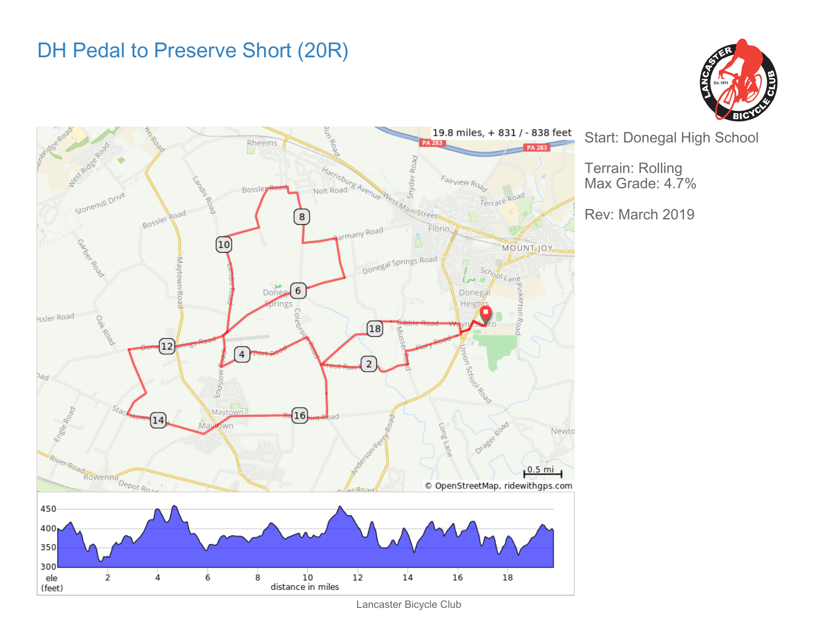## DH Pedal to Preserve Short (20R)





Start: Donegal High School

Terrain: Rolling Max Grade: 4.7%

Rev: March 2019